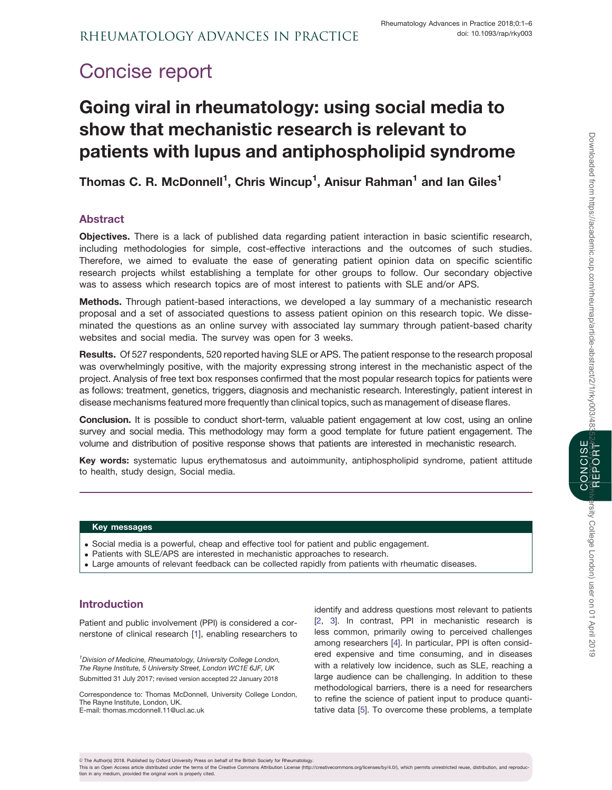# <span id="page-0-0"></span>Concise report

# Going viral in rheumatology: using social media to show that mechanistic research is relevant to patients with lupus and antiphospholipid syndrome

Thomas C. R. McDonnell<sup>1</sup>, Chris Wincup<sup>1</sup>, Anisur Rahman<sup>1</sup> and Ian Giles<sup>1</sup>

# Abstract

Objectives. There is a lack of published data regarding patient interaction in basic scientific research, including methodologies for simple, cost-effective interactions and the outcomes of such studies. Therefore, we aimed to evaluate the ease of generating patient opinion data on specific scientific research projects whilst establishing a template for other groups to follow. Our secondary objective was to assess which research topics are of most interest to patients with SLE and/or APS.

Methods. Through patient-based interactions, we developed a lay summary of a mechanistic research proposal and a set of associated questions to assess patient opinion on this research topic. We disseminated the questions as an online survey with associated lay summary through patient-based charity websites and social media. The survey was open for 3 weeks.

Results. Of 527 respondents, 520 reported having SLE or APS. The patient response to the research proposal was overwhelmingly positive, with the majority expressing strong interest in the mechanistic aspect of the project. Analysis of free text box responses confirmed that the most popular research topics for patients were as follows: treatment, genetics, triggers, diagnosis and mechanistic research. Interestingly, patient interest in disease mechanisms featured more frequently than clinical topics, such as management of disease flares.

Conclusion. It is possible to conduct short-term, valuable patient engagement at low cost, using an online survey and social media. This methodology may form a good template for future patient engagement. The volume and distribution of positive response shows that patients are interested in mechanistic research.

Key words: systematic lupus erythematosus and autoimmunity, antiphospholipid syndrome, patient attitude to health, study design, Social media.

## Key messages

- . Social media is a powerful, cheap and effective tool for patient and public engagement.
- . Patients with SLE/APS are interested in mechanistic approaches to research.
- . Large amounts of relevant feedback can be collected rapidly from patients with rheumatic diseases.

# Introduction

Patient and public involvement (PPI) is considered a cornerstone of clinical research [\[1\]](#page-4-0), enabling researchers to

<sup>1</sup> Division of Medicine, Rheumatology, University College London, The Rayne Institute, 5 University Street, London WC1E 6JF, UK Submitted 31 July 2017; revised version accepted 22 January 2018

Correspondence to: Thomas McDonnell, University College London, The Rayne Institute, London, UK. E-mail: thomas.mcdonnell.11@ucl.ac.uk

identify and address questions most relevant to patients [[2,](#page-4-0) [3](#page-4-0)]. In contrast, PPI in mechanistic research is less common, primarily owing to perceived challenges among researchers [[4](#page-4-0)]. In particular, PPI is often considered expensive and time consuming, and in diseases with a relatively low incidence, such as SLE, reaching a large audience can be challenging. In addition to these methodological barriers, there is a need for researchers to refine the science of patient input to produce quantitative data [[5](#page-4-0)]. To overcome these problems, a template

V<sup>C</sup> The Author(s) 2018. Published by Oxford University Press on behalf of the British Society for Rheumatology.

This is an Open Access article distributed under the terms of the Creative Commons Attribution License (http://creativecommons.org/licenses/by/4.0/), which permits unrestricted reuse, distribution, and reproduction in any medium, provided the original work is properly cited.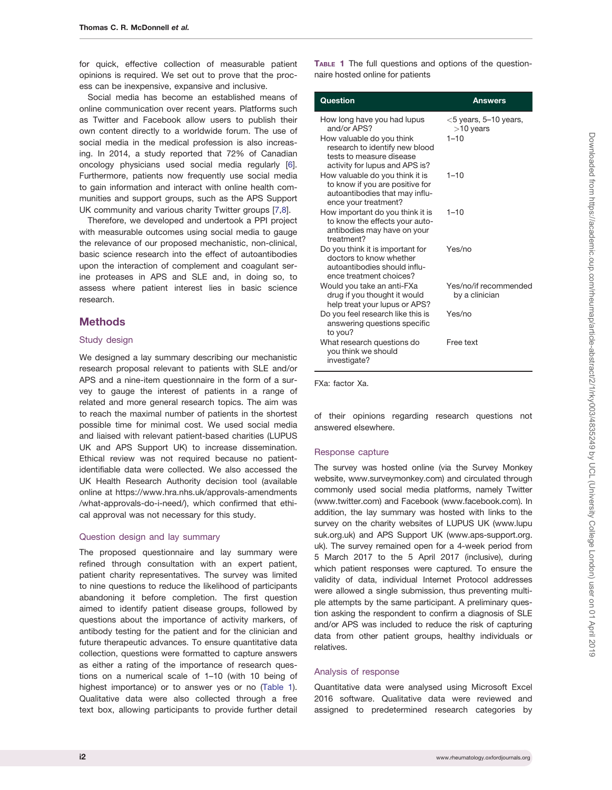<span id="page-1-0"></span>for quick, effective collection of measurable patient opinions is required. We set out to prove that the process can be inexpensive, expansive and inclusive.

Social media has become an established means of online communication over recent years. Platforms such as Twitter and Facebook allow users to publish their own content directly to a worldwide forum. The use of social media in the medical profession is also increasing. In 2014, a study reported that 72% of Canadian oncology physicians used social media regularly [\[6](#page-4-0)]. Furthermore, patients now frequently use social media to gain information and interact with online health communities and support groups, such as the APS Support UK community and various charity Twitter groups [[7,8\]](#page-5-0).

Therefore, we developed and undertook a PPI project with measurable outcomes using social media to gauge the relevance of our proposed mechanistic, non-clinical, basic science research into the effect of autoantibodies upon the interaction of complement and coagulant serine proteases in APS and SLE and, in doing so, to assess where patient interest lies in basic science research.

## **Methods**

#### Study design

We designed a lay summary describing our mechanistic research proposal relevant to patients with SLE and/or APS and a nine-item questionnaire in the form of a survey to gauge the interest of patients in a range of related and more general research topics. The aim was to reach the maximal number of patients in the shortest possible time for minimal cost. We used social media and liaised with relevant patient-based charities (LUPUS UK and APS Support UK) to increase dissemination. Ethical review was not required because no patientidentifiable data were collected. We also accessed the UK Health Research Authority decision tool (available online at [https://www.hra.nhs.uk/approvals-amendments](https://www.hra.nhs.uk/approvals-amendments/what-approvals-do-i-need/) [/what-approvals-do-i-need/\)](https://www.hra.nhs.uk/approvals-amendments/what-approvals-do-i-need/), which confirmed that ethical approval was not necessary for this study.

## Question design and lay summary

The proposed questionnaire and lay summary were refined through consultation with an expert patient, patient charity representatives. The survey was limited to nine questions to reduce the likelihood of participants abandoning it before completion. The first question aimed to identify patient disease groups, followed by questions about the importance of activity markers, of antibody testing for the patient and for the clinician and future therapeutic advances. To ensure quantitative data collection, questions were formatted to capture answers as either a rating of the importance of research questions on a numerical scale of 1–10 (with 10 being of highest importance) or to answer yes or no (Table 1). Qualitative data were also collected through a free text box, allowing participants to provide further detail

TABLE 1 The full questions and options of the questionnaire hosted online for patients

| <b>Question</b>                                                                                                              | <b>Answers</b>                          |
|------------------------------------------------------------------------------------------------------------------------------|-----------------------------------------|
| How long have you had lupus<br>and/or APS?                                                                                   | $<$ 5 years, 5–10 years,<br>$>10$ years |
| How valuable do you think<br>research to identify new blood<br>tests to measure disease<br>activity for lupus and APS is?    | $1 - 10$                                |
| How valuable do you think it is<br>to know if you are positive for<br>autoantibodies that may influ-<br>ence your treatment? | $1 - 10$                                |
| How important do you think it is<br>to know the effects your auto-<br>antibodies may have on your<br>treatment?              | $1 - 10$                                |
| Do you think it is important for<br>doctors to know whether<br>autoantibodies should influ-<br>ence treatment choices?       | Yes/no                                  |
| Would you take an anti-FXa<br>drug if you thought it would<br>help treat your lupus or APS?                                  | Yes/no/if recommended<br>by a clinician |
| Do you feel research like this is<br>answering questions specific<br>to you?                                                 | Yes/no                                  |
| What research questions do<br>you think we should<br>investigate?                                                            | Free text                               |

FXa: factor Xa.

of their opinions regarding research questions not answered elsewhere.

## Response capture

The survey was hosted online (via the Survey Monkey website, [www.surveymonkey.com\)](http://www.surveymonkey.com) and circulated through commonly used social media platforms, namely Twitter ([www.twitter.com\)](http://www.twitter.com) and Facebook [\(www.facebook.com\)](http://www.facebook.com). In addition, the lay summary was hosted with links to the survey on the charity websites of LUPUS UK ([www.lupu](http://www.lupusuk.org.uk) [suk.org.uk](http://www.lupusuk.org.uk)) and APS Support UK [\(www.aps-support.org.](http://www.aps-support.org.uk) [uk\)](http://www.aps-support.org.uk). The survey remained open for a 4-week period from 5 March 2017 to the 5 April 2017 (inclusive), during which patient responses were captured. To ensure the validity of data, individual Internet Protocol addresses were allowed a single submission, thus preventing multiple attempts by the same participant. A preliminary question asking the respondent to confirm a diagnosis of SLE and/or APS was included to reduce the risk of capturing data from other patient groups, healthy individuals or relatives.

#### Analysis of response

Quantitative data were analysed using Microsoft Excel 2016 software. Qualitative data were reviewed and assigned to predetermined research categories by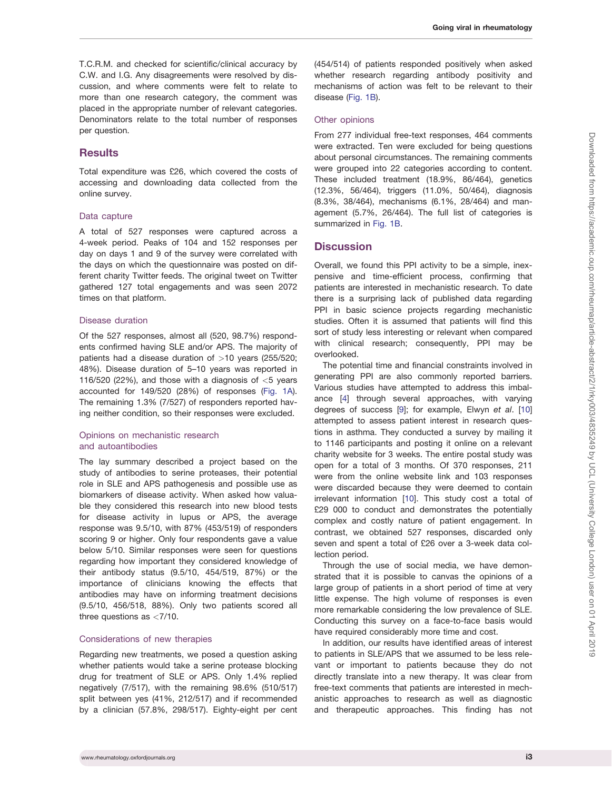<span id="page-2-0"></span>T.C.R.M. and checked for scientific/clinical accuracy by C.W. and I.G. Any disagreements were resolved by discussion, and where comments were felt to relate to more than one research category, the comment was placed in the appropriate number of relevant categories. Denominators relate to the total number of responses per question.

## **Results**

Total expenditure was £26, which covered the costs of accessing and downloading data collected from the online survey.

## Data capture

A total of 527 responses were captured across a 4-week period. Peaks of 104 and 152 responses per day on days 1 and 9 of the survey were correlated with the days on which the questionnaire was posted on different charity Twitter feeds. The original tweet on Twitter gathered 127 total engagements and was seen 2072 times on that platform.

## Disease duration

Of the 527 responses, almost all (520, 98.7%) respondents confirmed having SLE and/or APS. The majority of patients had a disease duration of >10 years (255/520; 48%). Disease duration of 5–10 years was reported in 116/520 (22%), and those with a diagnosis of  $<$ 5 years accounted for 149/520 (28%) of responses ([Fig. 1A](#page-3-0)). The remaining 1.3% (7/527) of responders reported having neither condition, so their responses were excluded.

## Opinions on mechanistic research and autoantibodies

The lay summary described a project based on the study of antibodies to serine proteases, their potential role in SLE and APS pathogenesis and possible use as biomarkers of disease activity. When asked how valuable they considered this research into new blood tests for disease activity in lupus or APS, the average response was 9.5/10, with 87% (453/519) of responders scoring 9 or higher. Only four respondents gave a value below 5/10. Similar responses were seen for questions regarding how important they considered knowledge of their antibody status (9.5/10, 454/519, 87%) or the importance of clinicians knowing the effects that antibodies may have on informing treatment decisions (9.5/10, 456/518, 88%). Only two patients scored all three questions as <7/10.

## Considerations of new therapies

Regarding new treatments, we posed a question asking whether patients would take a serine protease blocking drug for treatment of SLE or APS. Only 1.4% replied negatively (7/517), with the remaining 98.6% (510/517) split between yes (41%, 212/517) and if recommended by a clinician (57.8%, 298/517). Eighty-eight per cent

(454/514) of patients responded positively when asked whether research regarding antibody positivity and mechanisms of action was felt to be relevant to their disease ([Fig. 1B](#page-3-0)).

## Other opinions

From 277 individual free-text responses, 464 comments were extracted. Ten were excluded for being questions about personal circumstances. The remaining comments were grouped into 22 categories according to content. These included treatment (18.9%, 86/464), genetics (12.3%, 56/464), triggers (11.0%, 50/464), diagnosis (8.3%, 38/464), mechanisms (6.1%, 28/464) and management (5.7%, 26/464). The full list of categories is summarized in [Fig. 1B.](#page-3-0)

## **Discussion**

Overall, we found this PPI activity to be a simple, inexpensive and time-efficient process, confirming that patients are interested in mechanistic research. To date there is a surprising lack of published data regarding PPI in basic science projects regarding mechanistic studies. Often it is assumed that patients will find this sort of study less interesting or relevant when compared with clinical research; consequently, PPI may be overlooked.

The potential time and financial constraints involved in generating PPI are also commonly reported barriers. Various studies have attempted to address this imbalance [[4](#page-4-0)] through several approaches, with varying degrees of success [[9](#page-5-0)]; for example, Elwyn et al. [\[10\]](#page-5-0) attempted to assess patient interest in research questions in asthma. They conducted a survey by mailing it to 1146 participants and posting it online on a relevant charity website for 3 weeks. The entire postal study was open for a total of 3 months. Of 370 responses, 211 were from the online website link and 103 responses were discarded because they were deemed to contain irrelevant information [\[10](#page-5-0)]. This study cost a total of £29 000 to conduct and demonstrates the potentially complex and costly nature of patient engagement. In contrast, we obtained 527 responses, discarded only seven and spent a total of £26 over a 3-week data collection period.

Through the use of social media, we have demonstrated that it is possible to canvas the opinions of a large group of patients in a short period of time at very little expense. The high volume of responses is even more remarkable considering the low prevalence of SLE. Conducting this survey on a face-to-face basis would have required considerably more time and cost.

In addition, our results have identified areas of interest to patients in SLE/APS that we assumed to be less relevant or important to patients because they do not directly translate into a new therapy. It was clear from free-text comments that patients are interested in mechanistic approaches to research as well as diagnostic and therapeutic approaches. This finding has not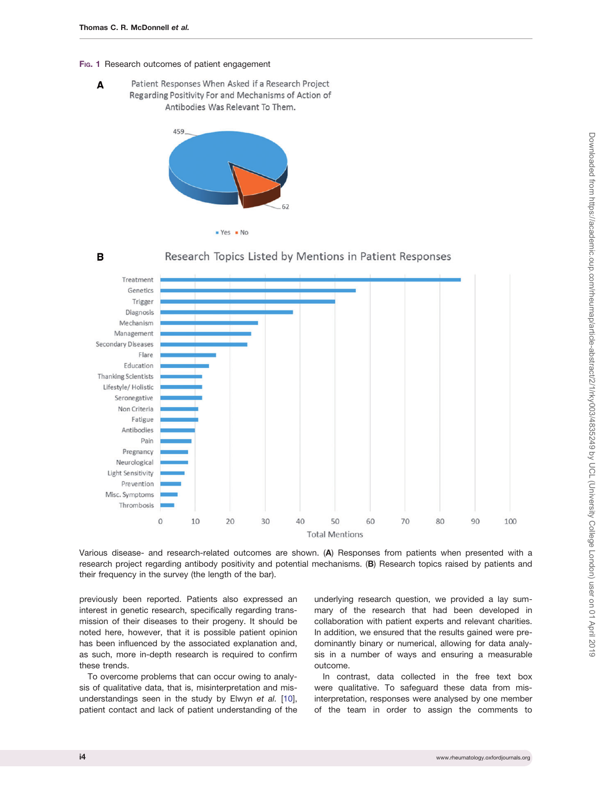## <span id="page-3-0"></span>Fig. 1 Research outcomes of patient engagement

Patient Responses When Asked if a Research Project  $\Delta$ Regarding Positivity For and Mechanisms of Action of Antibodies Was Relevant To Them.







Various disease- and research-related outcomes are shown. (A) Responses from patients when presented with a research project regarding antibody positivity and potential mechanisms. (B) Research topics raised by patients and their frequency in the survey (the length of the bar).

previously been reported. Patients also expressed an interest in genetic research, specifically regarding transmission of their diseases to their progeny. It should be noted here, however, that it is possible patient opinion has been influenced by the associated explanation and, as such, more in-depth research is required to confirm these trends.

To overcome problems that can occur owing to analysis of qualitative data, that is, misinterpretation and misunderstandings seen in the study by Elwyn et al. [[10](#page-5-0)], patient contact and lack of patient understanding of the underlying research question, we provided a lay summary of the research that had been developed in collaboration with patient experts and relevant charities. In addition, we ensured that the results gained were predominantly binary or numerical, allowing for data analysis in a number of ways and ensuring a measurable outcome.

In contrast, data collected in the free text box were qualitative. To safeguard these data from misinterpretation, responses were analysed by one member of the team in order to assign the comments to

90

100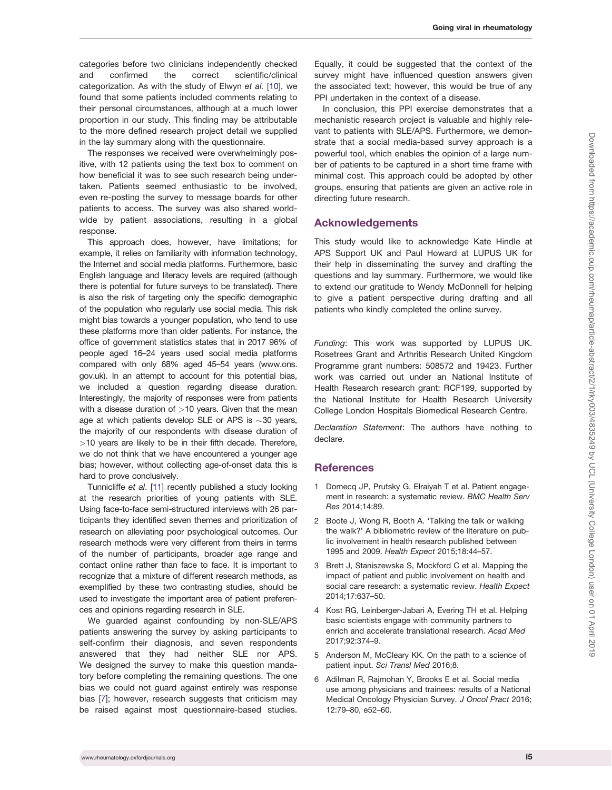<span id="page-4-0"></span>categories before two clinicians independently checked and confirmed the correct scientific/clinical categorization. As with the study of Elwyn et al. [\[10\]](#page-5-0), we found that some patients included comments relating to their personal circumstances, although at a much lower proportion in our study. This finding may be attributable to the more defined research project detail we supplied in the lay summary along with the questionnaire.

The responses we received were overwhelmingly positive, with 12 patients using the text box to comment on how beneficial it was to see such research being undertaken. Patients seemed enthusiastic to be involved, even re-posting the survey to message boards for other patients to access. The survey was also shared worldwide by patient associations, resulting in a global response.

This approach does, however, have limitations; for example, it relies on familiarity with information technology, the Internet and social media platforms. Furthermore, basic English language and literacy levels are required (although there is potential for future surveys to be translated). There is also the risk of targeting only the specific demographic of the population who regularly use social media. This risk might bias towards a younger population, who tend to use these platforms more than older patients. For instance, the office of government statistics states that in 2017 96% of people aged 16–24 years used social media platforms compared with only 68% aged 45–54 years [\(www.ons.](http://www.ons.gov.uk) [gov.uk\)](http://www.ons.gov.uk). In an attempt to account for this potential bias, we included a question regarding disease duration. Interestingly, the majority of responses were from patients with a disease duration of  $>10$  years. Given that the mean age at which patients develop SLE or APS is  $\sim$ 30 years, the majority of our respondents with disease duration of  $>$ 10 years are likely to be in their fifth decade. Therefore, we do not think that we have encountered a younger age bias; however, without collecting age-of-onset data this is hard to prove conclusively.

Tunnicliffe et al. [[11\]](#page-5-0) recently published a study looking at the research priorities of young patients with SLE. Using face-to-face semi-structured interviews with 26 participants they identified seven themes and prioritization of research on alleviating poor psychological outcomes. Our research methods were very different from theirs in terms of the number of participants, broader age range and contact online rather than face to face. It is important to recognize that a mixture of different research methods, as exemplified by these two contrasting studies, should be used to investigate the important area of patient preferences and opinions regarding research in SLE.

We guarded against confounding by non-SLE/APS patients answering the survey by asking participants to self-confirm their diagnosis, and seven respondents answered that they had neither SLE nor APS. We designed the survey to make this question mandatory before completing the remaining questions. The one bias we could not guard against entirely was response bias [\[7\]](#page-5-0); however, research suggests that criticism may be raised against most questionnaire-based studies.

Equally, it could be suggested that the context of the survey might have influenced question answers given the associated text; however, this would be true of any PPI undertaken in the context of a disease.

In conclusion, this PPI exercise demonstrates that a mechanistic research project is valuable and highly relevant to patients with SLE/APS. Furthermore, we demonstrate that a social media-based survey approach is a powerful tool, which enables the opinion of a large number of patients to be captured in a short time frame with minimal cost. This approach could be adopted by other groups, ensuring that patients are given an active role in directing future research.

## Acknowledgements

This study would like to acknowledge Kate Hindle at APS Support UK and Paul Howard at LUPUS UK for their help in disseminating the survey and drafting the questions and lay summary. Furthermore, we would like to extend our gratitude to Wendy McDonnell for helping to give a patient perspective during drafting and all patients who kindly completed the online survey.

Funding: This work was supported by LUPUS UK. Rosetrees Grant and Arthritis Research United Kingdom Programme grant numbers: 508572 and 19423. Further work was carried out under an National Institute of Health Research research grant: RCF199, supported by the National Institute for Health Research University College London Hospitals Biomedical Research Centre.

Declaration Statement: The authors have nothing to declare.

## **References**

- [1](#page-0-0) Domecq JP, Prutsky G, Elraiyah T et al. Patient engagement in research: a systematic review. BMC Health Serv Res 2014;14:89.
- [2](#page-0-0) Boote J, Wong R, Booth A. 'Talking the talk or walking the walk?' A bibliometric review of the literature on public involvement in health research published between 1995 and 2009. Health Expect 2015;18:44–57.
- [3](#page-0-0) Brett J, Staniszewska S, Mockford C et al. Mapping the impact of patient and public involvement on health and social care research: a systematic review. Health Expect 2014;17:637–50.
- [4](#page-0-0) Kost RG, Leinberger-Jabari A, Evering TH et al. Helping basic scientists engage with community partners to enrich and accelerate translational research. Acad Med 2017;92:374–9.
- [5](#page-0-0) Anderson M, McCleary KK. On the path to a science of patient input. Sci Transl Med 2016;8.
- [6](#page-1-0) Adilman R, Rajmohan Y, Brooks E et al. Social media use among physicians and trainees: results of a National Medical Oncology Physician Survey. J Oncol Pract 2016; 12:79–80, e52–60.